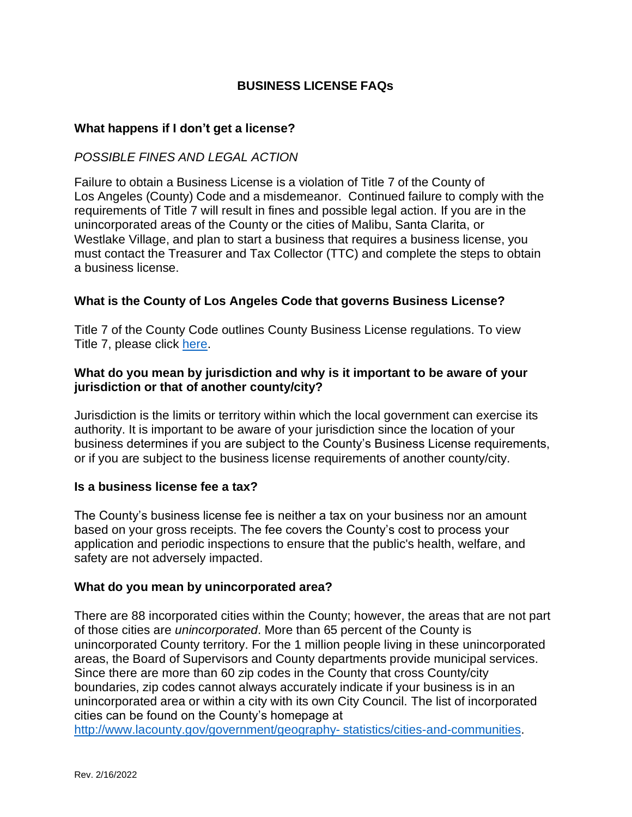# **BUSINESS LICENSE FAQs**

### **What happens if I don't get a license?**

## *POSSIBLE FINES AND LEGAL ACTION*

Failure to obtain a Business License is a violation of Title 7 of the County of Los Angeles (County) Code and a misdemeanor. Continued failure to comply with the requirements of Title 7 will result in fines and possible legal action. If you are in the unincorporated areas of the County or the cities of Malibu, Santa Clarita, or Westlake Village, and plan to start a business that requires a business license, you must contact the Treasurer and Tax Collector (TTC) and complete the steps to obtain a business license.

## **What is the County of Los Angeles Code that governs Business License?**

Title 7 of the County Code outlines County Business License regulations. To view Title 7, please click [here.](https://library.municode.com/ca/los_angeles_county/codes/code_of_ordinances?nodeId=TIT7BULI)

## **What do you mean by jurisdiction and why is it important to be aware of your jurisdiction or that of another county/city?**

Jurisdiction is the limits or territory within which the local government can exercise its authority. It is important to be aware of your jurisdiction since the location of your business determines if you are subject to the County's Business License requirements, or if you are subject to the business license requirements of another county/city.

### **Is a business license fee a tax?**

The County's business license fee is neither a tax on your business nor an amount based on your gross receipts. The fee covers the County's cost to process your application and periodic inspections to ensure that the public's health, welfare, and safety are not adversely impacted.

#### **What do you mean by unincorporated area?**

There are 88 incorporated cities within the County; however, the areas that are not part of those cities are *unincorporated*. More than 65 percent of the County is unincorporated County territory. For the 1 million people living in these unincorporated areas, the Board of Supervisors and County departments provide municipal services. Since there are more than 60 zip codes in the County that cross County/city boundaries, zip codes cannot always accurately indicate if your business is in an unincorporated area or within a city with its own City Council. The list of incorporated cities can be found on the County's homepage at

[http://www.lacounty.gov/government/geography-](http://www.lacounty.gov/government/geography-statistics/cities-and-communities) [statistics/cities-and-communities.](http://www.lacounty.gov/government/geography-statistics/cities-and-communities)